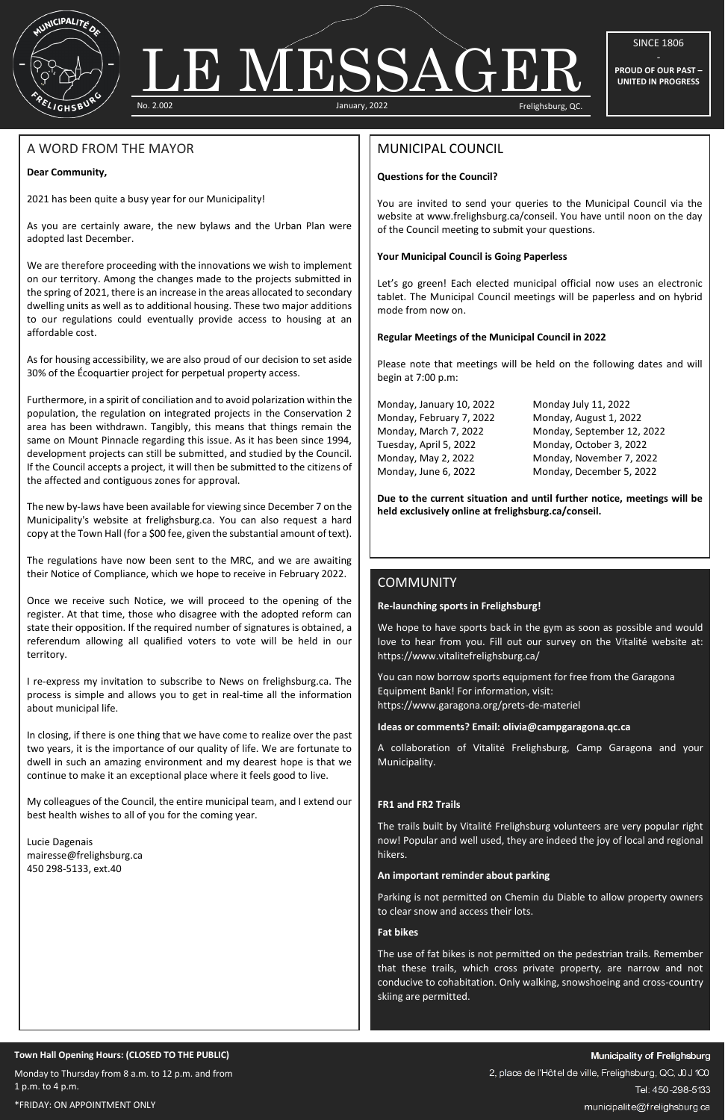

# No. 2.002 January, 2022 Frelighsburg, QC. LE MESSAGER

SINCE 1806

**PROUD OF OUR PAST – UNITED IN PROGRESS**

#### **Town Hall Opening Hours: (CLOSED TO THE PUBLIC)**

Monday to Thursday from 8 a.m. to 12 p.m. and from 1 p.m. to 4 p.m.

\*FRIDAY: ON APPOINTMENT ONLY

A WORD FROM THE MAYOR

# **Dear Community,**

2021 has been quite a busy year for our Municipality!

As you are certainly aware, the new bylaws and the Urban Plan were adopted last December.

We are therefore proceeding with the innovations we wish to implement on our territory. Among the changes made to the projects submitted in the spring of 2021, there is an increase in the areas allocated to secondary dwelling units as well as to additional housing. These two major additions to our regulations could eventually provide access to housing at an affordable cost.

As for housing accessibility, we are also proud of our decision to set aside 30% of the Écoquartier project for perpetual property access.

Furthermore, in a spirit of conciliation and to avoid polarization within the population, the regulation on integrated projects in the Conservation 2 area has been withdrawn. Tangibly, this means that things remain the same on Mount Pinnacle regarding this issue. As it has been since 1994, development projects can still be submitted, and studied by the Council. If the Council accepts a project, it will then be submitted to the citizens of the affected and contiguous zones for approval.

The new by-laws have been available for viewing since December 7 on the Municipality's website at frelighsburg.ca. You can also request a hard copy at the Town Hall (for a \$00 fee, given the substantial amount of text).

Let's go green! Each elected municipal official now uses an electronic tablet. The Municipal Council meetings will be paperless and on hybrid mode from now on.

The regulations have now been sent to the MRC, and we are awaiting their Notice of Compliance, which we hope to receive in February 2022.

Once we receive such Notice, we will proceed to the opening of the register. At that time, those who disagree with the adopted reform can state their opposition. If the required number of signatures is obtained, a referendum allowing all qualified voters to vote will be held in our territory.

I re-express my invitation to subscribe to News on frelighsburg.ca. The process is simple and allows you to get in real-time all the information about municipal life.

In closing, if there is one thing that we have come to realize over the past two years, it is the importance of our quality of life. We are fortunate to dwell in such an amazing environment and my dearest hope is that we continue to make it an exceptional place where it feels good to live.

My colleagues of the Council, the entire municipal team, and I extend our best health wishes to all of you for the coming year.

Lucie Dagenais mairesse@frelighsburg.ca 450 298-5133, ext.40

# MUNICIPAL COUNCIL

# **Questions for the Council?**

You are invited to send your queries to the Municipal Council via the website at www.frelighsburg.ca/conseil. You have until noon on the day of the Council meeting to submit your questions.

# **Your Municipal Council is Going Paperless**

# **Regular Meetings of the Municipal Council in 2022**

Please note that meetings will be held on the following dates and will begin at 7:00 p.m:

Monday, January 10, 2022 Monday July 11, 2022 Monday, February 7, 2022 Monday, August 1, 2022

Monday, March 7, 2022 Monday, September 12, 2022 Tuesday, April 5, 2022 Monday, October 3, 2022 Monday, May 2, 2022 Monday, November 7, 2022 Monday, June 6, 2022 Monday, December 5, 2022

**Due to the current situation and until further notice, meetings will be held exclusively online at frelighsburg.ca/conseil.**

# **COMMUNITY**

# **Re-launching sports in Frelighsburg!**

We hope to have sports back in the gym as soon as possible and would love to hear from you. Fill out our survey on the Vitalité website at: https://www.vitalitefrelighsburg.ca/

You can now borrow sports equipment for free from the Garagona Equipment Bank! For information, visit: https://www.garagona.org/prets-de-materiel

# **Ideas or comments? Email: olivia@campgaragona.qc.ca**

A collaboration of Vitalité Frelighsburg, Camp Garagona and your Municipality.

# **FR1 and FR2 Trails**

The trails built by Vitalité Frelighsburg volunteers are very popular right now! Popular and well used, they are indeed the joy of local and regional hikers.

#### **An important reminder about parking**

Parking is not permitted on Chemin du Diable to allow property owners to clear snow and access their lots.

#### **Fat bikes**

The use of fat bikes is not permitted on the pedestrian trails. Remember that these trails, which cross private property, are narrow and not conducive to cohabitation. Only walking, snowshoeing and cross-country skiing are permitted.

# Translated with www.DeepL.com/Translator (free version)

2, place de l'Hôtel de ville, Frelighsburg, QC, J0J 1C0

Tel: 450-298-5133

municipalite@frelighsburg.ca